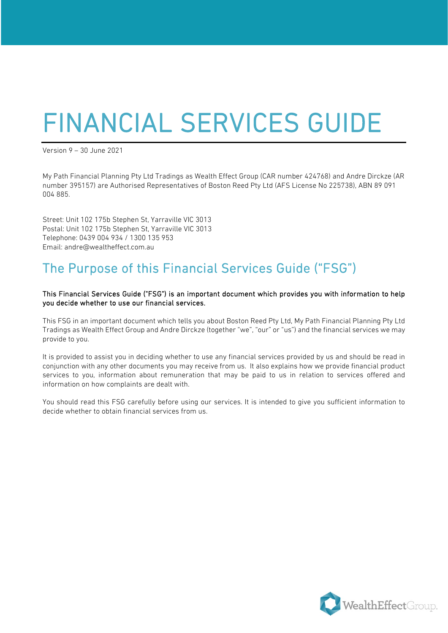# FINANCIAL SERVICES GUIDE Version 9 – 30 June 2021

My Path Financial Planning Pty Ltd Tradings as Wealth Effect Group (CAR number 424768) and Andre Dirckze (AR number 395157) are Authorised Representatives of Boston Reed Pty Ltd (AFS License No 225738), ABN 89 091 004 885.

Street: Unit 102 175b Stephen St, Yarraville VIC 3013 Postal: Unit 102 175b Stephen St, Yarraville VIC 3013 Telephone: 0439 004 934 / 1300 135 953 Email: andre@wealtheffect.com.au

## The Purpose of this Financial Services Guide ("FSG")

#### This Financial Services Guide ("FSG") is an important document which provides you with information to help you decide whether to use our financial services.

This FSG in an important document which tells you about Boston Reed Pty Ltd, My Path Financial Planning Pty Ltd Tradings as Wealth Effect Group and Andre Dirckze (together "we", "our" or "us") and the financial services we may provide to you.

It is provided to assist you in deciding whether to use any financial services provided by us and should be read in conjunction with any other documents you may receive from us. It also explains how we provide financial product services to you, information about remuneration that may be paid to us in relation to services offered and information on how complaints are dealt with.

You should read this FSG carefully before using our services. It is intended to give you sufficient information to decide whether to obtain financial services from us.

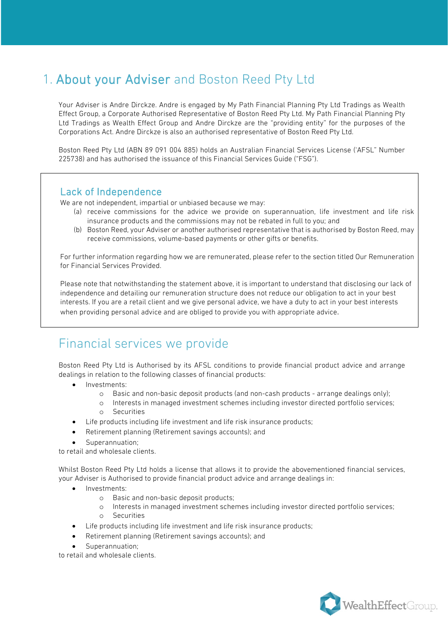## 1. About your Adviser and Boston Reed Pty Ltd

Your Adviser is Andre Dirckze. Andre is engaged by My Path Financial Planning Pty Ltd Tradings as Wealth Effect Group, a Corporate Authorised Representative of Boston Reed Pty Ltd. My Path Financial Planning Pty Ltd Tradings as Wealth Effect Group and Andre Dirckze are the "providing entity" for the purposes of the Corporations Act. Andre Dirckze is also an authorised representative of Boston Reed Pty Ltd.

Boston Reed Pty Ltd (ABN 89 091 004 885) holds an Australian Financial Services License ('AFSL" Number 225738) and has authorised the issuance of this Financial Services Guide ("FSG").

Lack of Independence<br>We are not independent, impartial or unbiased because we may:

- (a) receive commissions for the advice we provide on superannuation, life investment and life risk insurance products and the commissions may not be rebated in full to you; and
- (b) Boston Reed, your Adviser or another authorised representative that is authorised by Boston Reed, may receive commissions, volume-based payments or other gifts or benefits.

For further information regarding how we are remunerated, please refer to the section titled Our Remuneration for Financial Services Provided.

Please note that notwithstanding the statement above, it is important to understand that disclosing our lack of independence and detailing our remuneration structure does not reduce our obligation to act in your best interests. If you are a retail client and we give personal advice, we have a duty to act in your best interests when providing personal advice and are obliged to provide you with appropriate advice.

## Financial services we provide

Boston Reed Pty Ltd is Authorised by its AFSL conditions to provide financial product advice and arrange dealings in relation to the following classes of financial products:

- Investments:
	- o Basic and non-basic deposit products (and non-cash products arrange dealings only);
	- o Interests in managed investment schemes including investor directed portfolio services; o Securities
- Life products including life investment and life risk insurance products;
- Retirement planning (Retirement savings accounts); and
- Superannuation:

to retail and wholesale clients.

Whilst Boston Reed Pty Ltd holds a license that allows it to provide the abovementioned financial services, your Adviser is Authorised to provide financial product advice and arrange dealings in:

- Investments:
	- o Basic and non-basic deposit products;<br>o Interests in managed investment sche
	- Interests in managed investment schemes including investor directed portfolio services; o Securities
	- Life products including life investment and life risk insurance products;
- Retirement planning (Retirement savings accounts); and
- Superannuation;

to retail and wholesale clients.

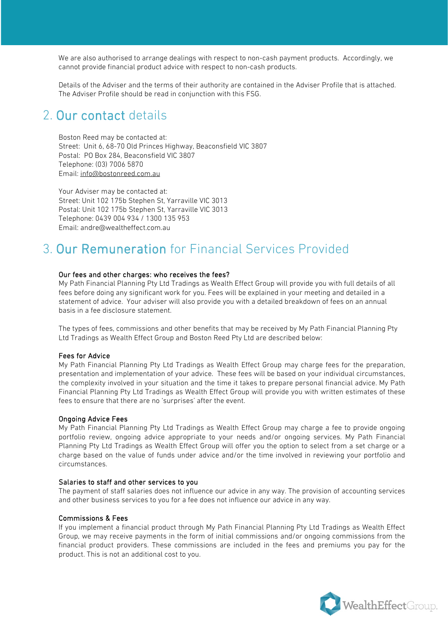We are also authorised to arrange dealings with respect to non-cash payment products. Accordingly, we cannot provide financial product advice with respect to non-cash products.

Details of the Adviser and the terms of their authority are contained in the Adviser Profile that is attached. The Adviser Profile should be read in conjunction with this FSG.

## 2. Our contact details

Boston Reed may be contacted at: Street: Unit 6, 68-70 Old Princes Highway, Beaconsfield VIC 3807 Postal: PO Box 284, Beaconsfield VIC 3807 Telephone: (03) 7006 5870 Email: [info@bostonreed.com.au](mailto:info@bostonreed.com.au)

Your Adviser may be contacted at: Street: Unit 102 175b Stephen St, Yarraville VIC 3013 Postal: Unit 102 175b Stephen St, Yarraville VIC 3013 Telephone: 0439 004 934 / 1300 135 953 Email: andre@wealtheffect.com.au

## 3. Our Remuneration for Financial Services Provided

#### Our fees and other charges: who receives the fees?

My Path Financial Planning Pty Ltd Tradings as Wealth Effect Group will provide you with full details of all fees before doing any significant work for you. Fees will be explained in your meeting and detailed in a statement of advice. Your adviser will also provide you with a detailed breakdown of fees on an annual basis in a fee disclosure statement.

The types of fees, commissions and other benefits that may be received by My Path Financial Planning Pty Ltd Tradings as Wealth Effect Group and Boston Reed Pty Ltd are described below:

#### Fees for Advice

My Path Financial Planning Pty Ltd Tradings as Wealth Effect Group may charge fees for the preparation, presentation and implementation of your advice. These fees will be based on your individual circumstances, the complexity involved in your situation and the time it takes to prepare personal financial advice. My Path Financial Planning Pty Ltd Tradings as Wealth Effect Group will provide you with written estimates of these fees to ensure that there are no 'surprises' after the event.

#### Ongoing Advice Fees

My Path Financial Planning Pty Ltd Tradings as Wealth Effect Group may charge a fee to provide ongoing portfolio review, ongoing advice appropriate to your needs and/or ongoing services. My Path Financial Planning Pty Ltd Tradings as Wealth Effect Group will offer you the option to select from a set charge or a charge based on the value of funds under advice and/or the time involved in reviewing your portfolio and circumstances.

#### Salaries to staff and other services to you

The payment of staff salaries does not influence our advice in any way. The provision of accounting services and other business services to you for a fee does not influence our advice in any way.

#### Commissions & Fees

If you implement a financial product through My Path Financial Planning Pty Ltd Tradings as Wealth Effect Group, we may receive payments in the form of initial commissions and/or ongoing commissions from the financial product providers. These commissions are included in the fees and premiums you pay for the product. This is not an additional cost to you.

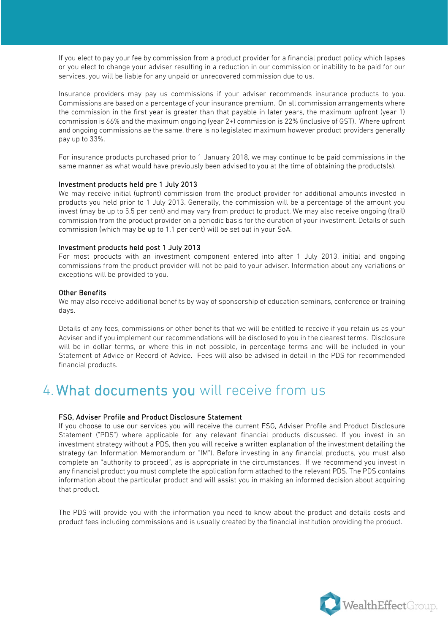If you elect to pay your fee by commission from a product provider for a financial product policy which lapses or you elect to change your adviser resulting in a reduction in our commission or inability to be paid for our services, you will be liable for any unpaid or unrecovered commission due to us.

Insurance providers may pay us commissions if your adviser recommends insurance products to you. Commissions are based on a percentage of your insurance premium. On all commission arrangements where the commission in the first year is greater than that payable in later years, the maximum upfront (year 1) commission is 66% and the maximum ongoing (year 2+) commission is 22% (inclusive of GST). Where upfront and ongoing commissions ae the same, there is no legislated maximum however product providers generally pay up to 33%.

For insurance products purchased prior to 1 January 2018, we may continue to be paid commissions in the same manner as what would have previously been advised to you at the time of obtaining the products(s).

#### Investment products held pre 1 July 2013

We may receive initial (upfront) commission from the product provider for additional amounts invested in products you held prior to 1 July 2013. Generally, the commission will be a percentage of the amount you invest (may be up to 5.5 per cent) and may vary from product to product. We may also receive ongoing (trail) commission from the product provider on a periodic basis for the duration of your investment. Details of such commission (which may be up to 1.1 per cent) will be set out in your SoA.

#### Investment products held post 1 July 2013

For most products with an investment component entered into after 1 July 2013, initial and ongoing commissions from the product provider will not be paid to your adviser. Information about any variations or exceptions will be provided to you.

#### Other Benefits

We may also receive additional benefits by way of sponsorship of education seminars, conference or training days.

Details of any fees, commissions or other benefits that we will be entitled to receive if you retain us as your Adviser and if you implement our recommendations will be disclosed to you in the clearest terms. Disclosure will be in dollar terms, or where this in not possible, in percentage terms and will be included in your Statement of Advice or Record of Advice. Fees will also be advised in detail in the PDS for recommended financial products.

## 4. What documents you will receive from us

#### FSG, Adviser Profile and Product Disclosure Statement

If you choose to use our services you will receive the current FSG, Adviser Profile and Product Disclosure Statement ("PDS") where applicable for any relevant financial products discussed. If you invest in an investment strategy without a PDS, then you will receive a written explanation of the investment detailing the strategy (an Information Memorandum or "IM"). Before investing in any financial products, you must also complete an "authority to proceed", as is appropriate in the circumstances. If we recommend you invest in any financial product you must complete the application form attached to the relevant PDS. The PDS contains information about the particular product and will assist you in making an informed decision about acquiring that product.

The PDS will provide you with the information you need to know about the product and details costs and product fees including commissions and is usually created by the financial institution providing the product.

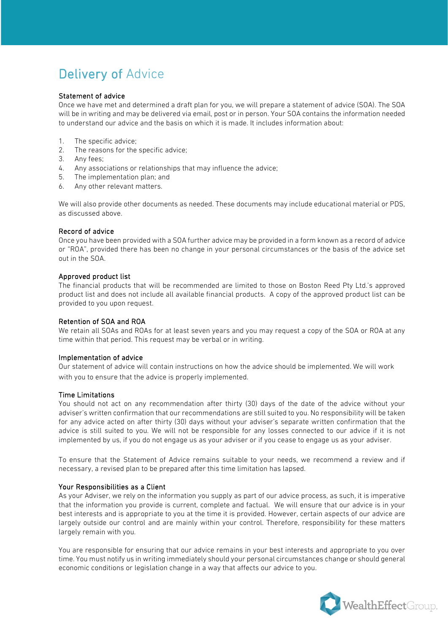## Delivery of Advice

#### Statement of advice

Once we have met and determined a draft plan for you, we will prepare a statement of advice (SOA). The SOA will be in writing and may be delivered via email, post or in person. Your SOA contains the information needed to understand our advice and the basis on which it is made. It includes information about:

- 1. The specific advice;
- 2. The reasons for the specific advice;
- 3. Any fees;
- 4. Any associations or relationships that may influence the advice;
- 5. The implementation plan; and
- 6. Any other relevant matters.

We will also provide other documents as needed. These documents may include educational material or PDS, as discussed above.

#### Record of advice

Once you have been provided with a SOA further advice may be provided in a form known as a record of advice or "ROA", provided there has been no change in your personal circumstances or the basis of the advice set out in the SOA.

#### Approved product list

The financial products that will be recommended are limited to those on Boston Reed Pty Ltd.'s approved product list and does not include all available financial products. A copy of the approved product list can be provided to you upon request.

#### Retention of SOA and ROA

We retain all SOAs and ROAs for at least seven years and you may request a copy of the SOA or ROA at any time within that period. This request may be verbal or in writing.

#### Implementation of advice

Our statement of advice will contain instructions on how the advice should be implemented. We will work with you to ensure that the advice is properly implemented.

#### Time Limitations

You should not act on any recommendation after thirty (30) days of the date of the advice without your adviser's written confirmation that our recommendations are still suited to you. No responsibility will be taken for any advice acted on after thirty (30) days without your adviser's separate written confirmation that the advice is still suited to you. We will not be responsible for any losses connected to our advice if it is not implemented by us, if you do not engage us as your adviser or if you cease to engage us as your adviser.

To ensure that the Statement of Advice remains suitable to your needs, we recommend a review and if necessary, a revised plan to be prepared after this time limitation has lapsed.

#### Your Responsibilities as a Client

As your Adviser, we rely on the information you supply as part of our advice process, as such, it is imperative that the information you provide is current, complete and factual. We will ensure that our advice is in your best interests and is appropriate to you at the time it is provided. However, certain aspects of our advice are largely outside our control and are mainly within your control. Therefore, responsibility for these matters largely remain with you.

You are responsible for ensuring that our advice remains in your best interests and appropriate to you over time. You must notify us in writing immediately should your personal circumstances change or should general economic conditions or legislation change in a way that affects our advice to you.

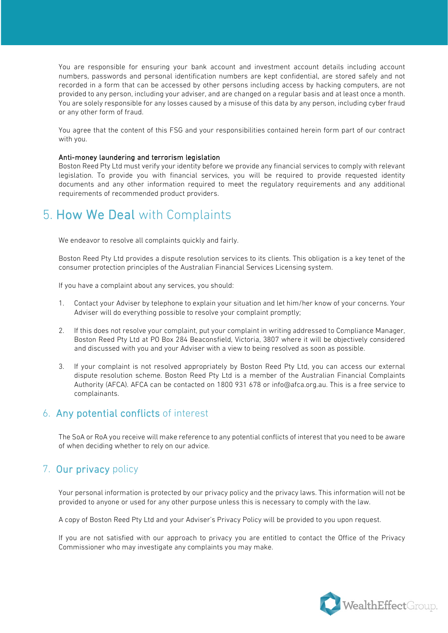You are responsible for ensuring your bank account and investment account details including account numbers, passwords and personal identification numbers are kept confidential, are stored safely and not recorded in a form that can be accessed by other persons including access by hacking computers, are not provided to any person, including your adviser, and are changed on a regular basis and at least once a month. You are solely responsible for any losses caused by a misuse of this data by any person, including cyber fraud or any other form of fraud.

You agree that the content of this FSG and your responsibilities contained herein form part of our contract with you.

#### Anti-money laundering and terrorism legislation

Boston Reed Pty Ltd must verify your identity before we provide any financial services to comply with relevant legislation. To provide you with financial services, you will be required to provide requested identity documents and any other information required to meet the regulatory requirements and any additional requirements of recommended product providers.

## 5. How We Deal with Complaints

We endeavor to resolve all complaints quickly and fairly.

Boston Reed Pty Ltd provides a dispute resolution services to its clients. This obligation is a key tenet of the consumer protection principles of the Australian Financial Services Licensing system.

If you have a complaint about any services, you should:

- 1. Contact your Adviser by telephone to explain your situation and let him/her know of your concerns. Your Adviser will do everything possible to resolve your complaint promptly;
- 2. If this does not resolve your complaint, put your complaint in writing addressed to Compliance Manager, Boston Reed Pty Ltd at PO Box 284 Beaconsfield, Victoria, 3807 where it will be objectively considered and discussed with you and your Adviser with a view to being resolved as soon as possible.
- 3. If your complaint is not resolved appropriately by Boston Reed Pty Ltd, you can access our external dispute resolution scheme. Boston Reed Pty Ltd is a member of the Australian Financial Complaints Authority (AFCA). AFCA can be contacted on 1800 931 678 or info@afca.org.au. This is a free service to complainants.

#### 6. Any potential conflicts of interest

The SoA or RoA you receive will make reference to any potential conflicts of interest that you need to be aware of when deciding whether to rely on our advice.

#### 7. Our privacy policy

Your personal information is protected by our privacy policy and the privacy laws. This information will not be provided to anyone or used for any other purpose unless this is necessary to comply with the law.

A copy of Boston Reed Pty Ltd and your Adviser's Privacy Policy will be provided to you upon request.

If you are not satisfied with our approach to privacy you are entitled to contact the Office of the Privacy Commissioner who may investigate any complaints you may make.

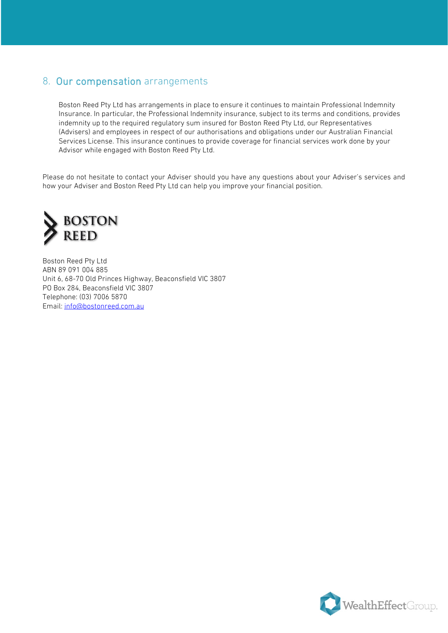### 8. Our compensation arrangements

Boston Reed Pty Ltd has arrangements in place to ensure it continues to maintain Professional Indemnity Insurance. In particular, the Professional Indemnity insurance, subject to its terms and conditions, provides indemnity up to the required regulatory sum insured for Boston Reed Pty Ltd, our Representatives (Advisers) and employees in respect of our authorisations and obligations under our Australian Financial Services License. This insurance continues to provide coverage for financial services work done by your Advisor while engaged with Boston Reed Pty Ltd.

Please do not hesitate to contact your Adviser should you have any questions about your Adviser's services and how your Adviser and Boston Reed Pty Ltd can help you improve your financial position.



Boston Reed Pty Ltd ABN 89 091 004 885 Unit 6, 68-70 Old Princes Highway, Beaconsfield VIC 3807 PO Box 284, Beaconsfield VIC 3807 Telephone: (03) 7006 5870 Email[: info@bostonreed.com.au](mailto:info@bostonreed.com.au)

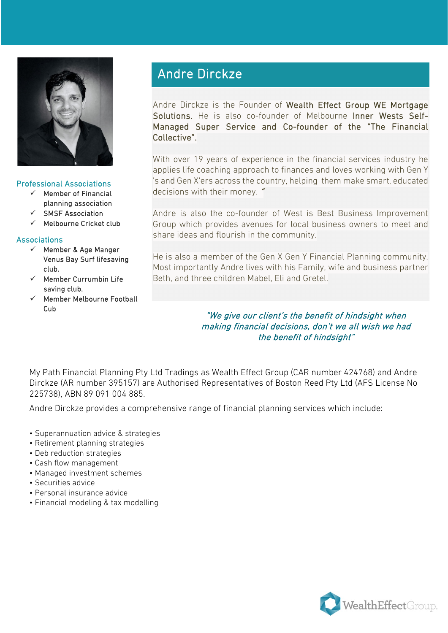

#### Professional Associations

- $\checkmark$  Member of Financial planning association
- SMSF Association
- $\checkmark$  Melbourne Cricket club

#### Associations

- $\checkmark$  Member & Age Manger Venus Bay Surf lifesaving club.
- $\checkmark$  Member Currumbin Life saving club.
- $\checkmark$  Member Melbourne Football Cub

## Andre Dirckze

Andre Dirckze is the Founder of Wealth Effect Group WE Mortgage Solutions. He is also co-founder of Melbourne Inner Wests Self-Managed Super Service and Co-founder of the "The Financial Collective".

With over 19 years of experience in the financial services industry he applies life coaching approach to finances and loves working with Gen Y 's and Gen X'ers across the country, helping them make smart, educated decisions with their money. "

Andre is also the co-founder of West is Best Business Improvement Group which provides avenues for local business owners to meet and share ideas and flourish in the community.

He is also a member of the Gen X Gen Y Financial Planning community. Most importantly Andre lives with his Family, wife and business partner Beth, and three children Mabel, Eli and Gretel.

#### "We give our client's the benefit of hindsight when making financial decisions, don't we all wish we had the benefit of hindsight"

My Path Financial Planning Pty Ltd Tradings as Wealth Effect Group (CAR number 424768) and Andre Dirckze (AR number 395157) are Authorised Representatives of Boston Reed Pty Ltd (AFS License No 225738), ABN 89 091 004 885.

Andre Dirckze provides a comprehensive range of financial planning services which include:

- Superannuation advice & strategies
- Retirement planning strategies
- Deb reduction strategies
- Cash flow management
- Managed investment schemes
- Securities advice
- Personal insurance advice
- Financial modeling & tax modelling

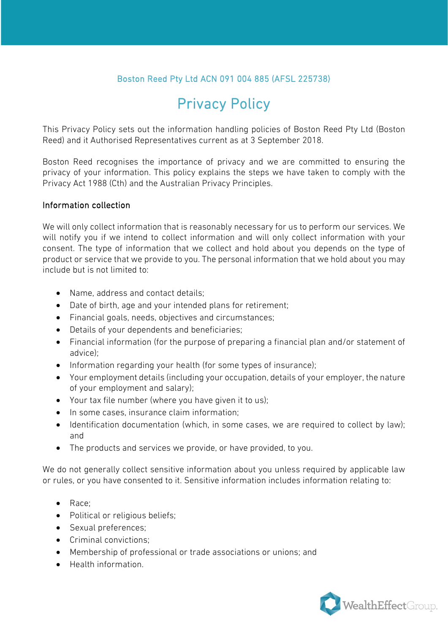#### Boston Reed Pty Ltd ACN 091 004 885 (AFSL 225738)

## Privacy Policy

This Privacy Policy sets out the information handling policies of Boston Reed Pty Ltd (Boston Reed) and it Authorised Representatives current as at 3 September 2018.

Boston Reed recognises the importance of privacy and we are committed to ensuring the privacy of your information. This policy explains the steps we have taken to comply with the Privacy Act 1988 (Cth) and the Australian Privacy Principles.

#### Information collection

We will only collect information that is reasonably necessary for us to perform our services. We will notify you if we intend to collect information and will only collect information with your consent. The type of information that we collect and hold about you depends on the type of product or service that we provide to you. The personal information that we hold about you may include but is not limited to:

- Name, address and contact details:
- Date of birth, age and your intended plans for retirement;
- Financial goals, needs, objectives and circumstances;
- Details of your dependents and beneficiaries;
- Financial information (for the purpose of preparing a financial plan and/or statement of advice);
- Information regarding your health (for some types of insurance);
- Your employment details (including your occupation, details of your employer, the nature of your employment and salary);
- Your tax file number (where you have given it to us);
- In some cases, insurance claim information;
- Identification documentation (which, in some cases, we are required to collect by law); and
- The products and services we provide, or have provided, to you.

We do not generally collect sensitive information about you unless required by applicable law or rules, or you have consented to it. Sensitive information includes information relating to:

- Race;
- Political or religious beliefs;
- Sexual preferences;
- Criminal convictions:
- Membership of professional or trade associations or unions; and
- Health information.

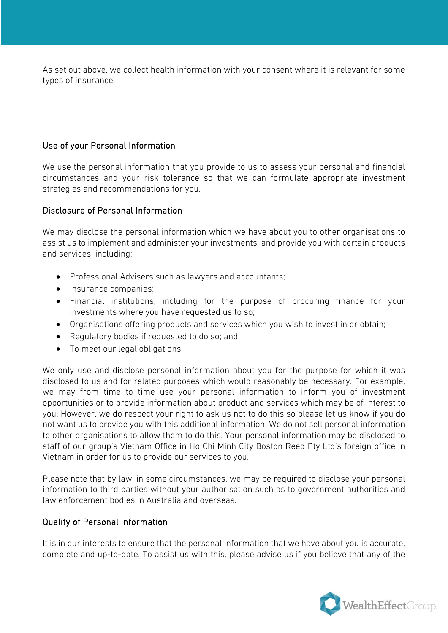As set out above, we collect health information with your consent where it is relevant for some types of insurance.

#### Use of your Personal Information

We use the personal information that you provide to us to assess your personal and financial circumstances and your risk tolerance so that we can formulate appropriate investment strategies and recommendations for you.

#### Disclosure of Personal Information

We may disclose the personal information which we have about you to other organisations to assist us to implement and administer your investments, and provide you with certain products and services, including:

- Professional Advisers such as lawyers and accountants;
- Insurance companies;
- Financial institutions, including for the purpose of procuring finance for your investments where you have requested us to so;
- Organisations offering products and services which you wish to invest in or obtain;
- Regulatory bodies if requested to do so; and
- To meet our legal obligations

We only use and disclose personal information about you for the purpose for which it was disclosed to us and for related purposes which would reasonably be necessary. For example, we may from time to time use your personal information to inform you of investment opportunities or to provide information about product and services which may be of interest to you. However, we do respect your right to ask us not to do this so please let us know if you do not want us to provide you with this additional information. We do not sell personal information to other organisations to allow them to do this. Your personal information may be disclosed to staff of our group's Vietnam Office in Ho Chi Minh City Boston Reed Pty Ltd's foreign office in Vietnam in order for us to provide our services to you.

Please note that by law, in some circumstances, we may be required to disclose your personal information to third parties without your authorisation such as to government authorities and law enforcement bodies in Australia and overseas.

#### Quality of Personal Information

It is in our interests to ensure that the personal information that we have about you is accurate, complete and up-to-date. To assist us with this, please advise us if you believe that any of the